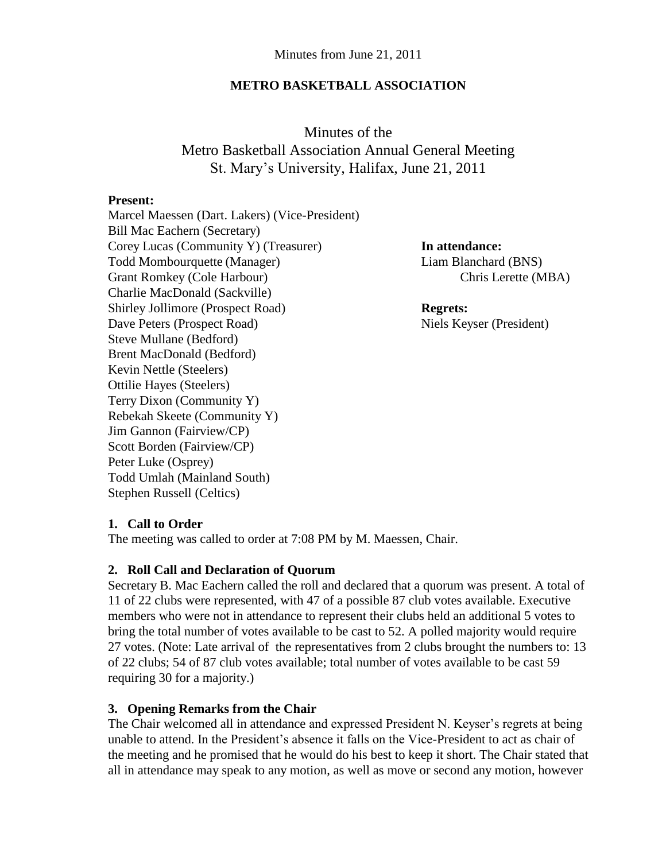#### **METRO BASKETBALL ASSOCIATION**

Minutes of the Metro Basketball Association Annual General Meeting St. Mary's University, Halifax, June 21, 2011

#### **Present:**

Marcel Maessen (Dart. Lakers) (Vice-President) Bill Mac Eachern (Secretary) Corey Lucas (Community Y) (Treasurer) **In attendance:** Todd Mombourquette (Manager) Liam Blanchard (BNS) Grant Romkey (Cole Harbour) Chris Lerette (MBA) Charlie MacDonald (Sackville) Shirley Jollimore (Prospect Road) **Regrets:** Dave Peters (Prospect Road) Niels Keyser (President) Steve Mullane (Bedford) Brent MacDonald (Bedford) Kevin Nettle (Steelers) Ottilie Hayes (Steelers) Terry Dixon (Community Y) Rebekah Skeete (Community Y) Jim Gannon (Fairview/CP) Scott Borden (Fairview/CP) Peter Luke (Osprey) Todd Umlah (Mainland South) Stephen Russell (Celtics)

### **1. Call to Order**

The meeting was called to order at 7:08 PM by M. Maessen, Chair.

#### **2. Roll Call and Declaration of Quorum**

Secretary B. Mac Eachern called the roll and declared that a quorum was present. A total of 11 of 22 clubs were represented, with 47 of a possible 87 club votes available. Executive members who were not in attendance to represent their clubs held an additional 5 votes to bring the total number of votes available to be cast to 52. A polled majority would require 27 votes. (Note: Late arrival of the representatives from 2 clubs brought the numbers to: 13 of 22 clubs; 54 of 87 club votes available; total number of votes available to be cast 59 requiring 30 for a majority.)

### **3. Opening Remarks from the Chair**

The Chair welcomed all in attendance and expressed President N. Keyser's regrets at being unable to attend. In the President's absence it falls on the Vice-President to act as chair of the meeting and he promised that he would do his best to keep it short. The Chair stated that all in attendance may speak to any motion, as well as move or second any motion, however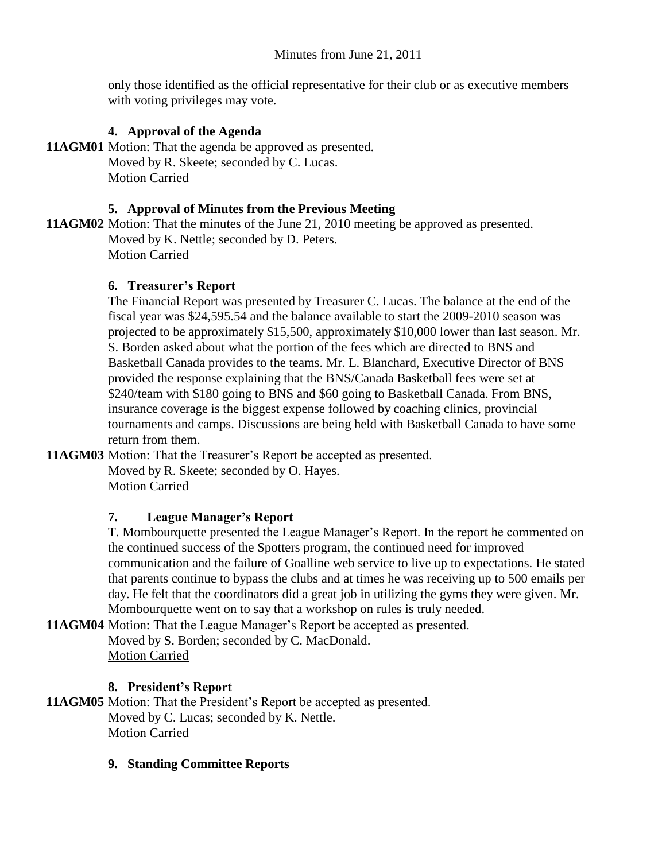only those identified as the official representative for their club or as executive members with voting privileges may vote.

## **4. Approval of the Agenda**

**11AGM01** Motion: That the agenda be approved as presented. Moved by R. Skeete; seconded by C. Lucas. Motion Carried

#### **5. Approval of Minutes from the Previous Meeting**

**11AGM02** Motion: That the minutes of the June 21, 2010 meeting be approved as presented. Moved by K. Nettle; seconded by D. Peters. Motion Carried

### **6. Treasurer's Report**

The Financial Report was presented by Treasurer C. Lucas. The balance at the end of the fiscal year was \$24,595.54 and the balance available to start the 2009-2010 season was projected to be approximately \$15,500, approximately \$10,000 lower than last season. Mr. S. Borden asked about what the portion of the fees which are directed to BNS and Basketball Canada provides to the teams. Mr. L. Blanchard, Executive Director of BNS provided the response explaining that the BNS/Canada Basketball fees were set at \$240/team with \$180 going to BNS and \$60 going to Basketball Canada. From BNS, insurance coverage is the biggest expense followed by coaching clinics, provincial tournaments and camps. Discussions are being held with Basketball Canada to have some return from them.

**11AGM03** Motion: That the Treasurer's Report be accepted as presented.

Moved by R. Skeete; seconded by O. Hayes. Motion Carried

### **7. League Manager's Report**

T. Mombourquette presented the League Manager's Report. In the report he commented on the continued success of the Spotters program, the continued need for improved communication and the failure of Goalline web service to live up to expectations. He stated that parents continue to bypass the clubs and at times he was receiving up to 500 emails per day. He felt that the coordinators did a great job in utilizing the gyms they were given. Mr. Mombourquette went on to say that a workshop on rules is truly needed.

**11AGM04** Motion: That the League Manager's Report be accepted as presented. Moved by S. Borden; seconded by C. MacDonald. Motion Carried

### **8. President's Report**

**11AGM05** Motion: That the President's Report be accepted as presented. Moved by C. Lucas; seconded by K. Nettle. Motion Carried

### **9. Standing Committee Reports**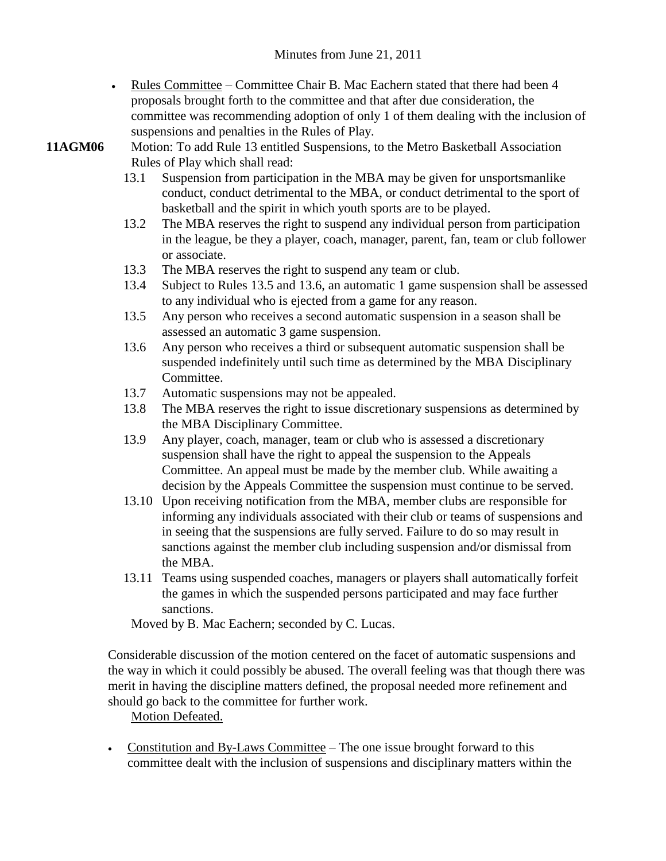Rules Committee – Committee Chair B. Mac Eachern stated that there had been 4 proposals brought forth to the committee and that after due consideration, the committee was recommending adoption of only 1 of them dealing with the inclusion of suspensions and penalties in the Rules of Play.

- **11AGM06** Motion: To add Rule 13 entitled Suspensions, to the Metro Basketball Association Rules of Play which shall read:
	- 13.1 Suspension from participation in the MBA may be given for unsportsmanlike conduct, conduct detrimental to the MBA, or conduct detrimental to the sport of basketball and the spirit in which youth sports are to be played.
	- 13.2 The MBA reserves the right to suspend any individual person from participation in the league, be they a player, coach, manager, parent, fan, team or club follower or associate.
	- 13.3 The MBA reserves the right to suspend any team or club.
	- 13.4 Subject to Rules 13.5 and 13.6, an automatic 1 game suspension shall be assessed to any individual who is ejected from a game for any reason.
	- 13.5 Any person who receives a second automatic suspension in a season shall be assessed an automatic 3 game suspension.
	- 13.6 Any person who receives a third or subsequent automatic suspension shall be suspended indefinitely until such time as determined by the MBA Disciplinary Committee.
	- 13.7 Automatic suspensions may not be appealed.
	- 13.8 The MBA reserves the right to issue discretionary suspensions as determined by the MBA Disciplinary Committee.
	- 13.9 Any player, coach, manager, team or club who is assessed a discretionary suspension shall have the right to appeal the suspension to the Appeals Committee. An appeal must be made by the member club. While awaiting a decision by the Appeals Committee the suspension must continue to be served.
	- 13.10 Upon receiving notification from the MBA, member clubs are responsible for informing any individuals associated with their club or teams of suspensions and in seeing that the suspensions are fully served. Failure to do so may result in sanctions against the member club including suspension and/or dismissal from the MBA.
	- 13.11 Teams using suspended coaches, managers or players shall automatically forfeit the games in which the suspended persons participated and may face further sanctions.

Moved by B. Mac Eachern; seconded by C. Lucas.

Considerable discussion of the motion centered on the facet of automatic suspensions and the way in which it could possibly be abused. The overall feeling was that though there was merit in having the discipline matters defined, the proposal needed more refinement and should go back to the committee for further work.

### Motion Defeated.

• Constitution and By-Laws Committee – The one issue brought forward to this committee dealt with the inclusion of suspensions and disciplinary matters within the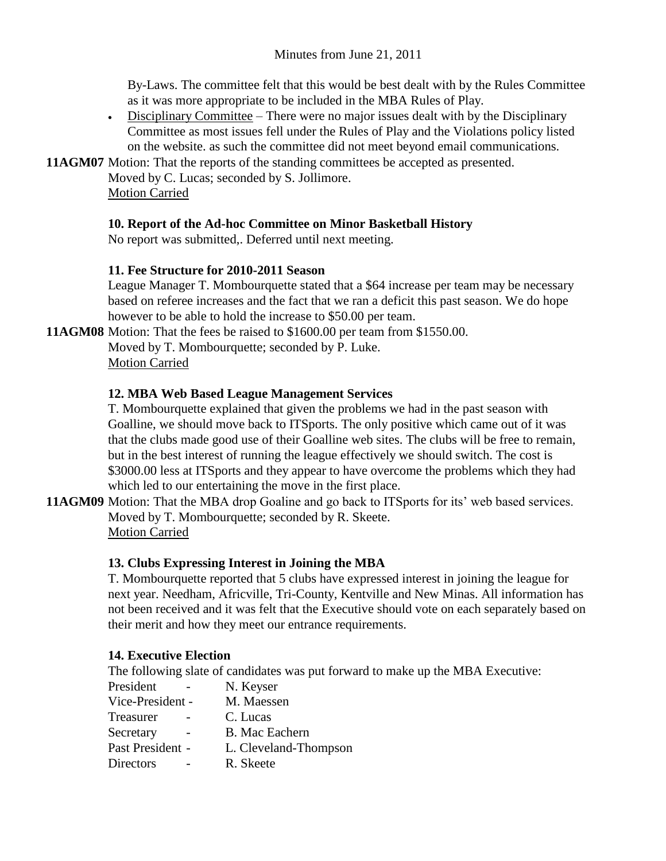By-Laws. The committee felt that this would be best dealt with by the Rules Committee as it was more appropriate to be included in the MBA Rules of Play.

 Disciplinary Committee – There were no major issues dealt with by the Disciplinary Committee as most issues fell under the Rules of Play and the Violations policy listed on the website. as such the committee did not meet beyond email communications.

**11AGM07** Motion: That the reports of the standing committees be accepted as presented.

Moved by C. Lucas; seconded by S. Jollimore. Motion Carried

### **10. Report of the Ad-hoc Committee on Minor Basketball History**

No report was submitted,. Deferred until next meeting.

## **11. Fee Structure for 2010-2011 Season**

League Manager T. Mombourquette stated that a \$64 increase per team may be necessary based on referee increases and the fact that we ran a deficit this past season. We do hope however to be able to hold the increase to \$50.00 per team.

**11AGM08** Motion: That the fees be raised to \$1600.00 per team from \$1550.00.

Moved by T. Mombourquette; seconded by P. Luke. Motion Carried

## **12. MBA Web Based League Management Services**

T. Mombourquette explained that given the problems we had in the past season with Goalline, we should move back to ITSports. The only positive which came out of it was that the clubs made good use of their Goalline web sites. The clubs will be free to remain, but in the best interest of running the league effectively we should switch. The cost is \$3000.00 less at ITSports and they appear to have overcome the problems which they had which led to our entertaining the move in the first place.

**11AGM09** Motion: That the MBA drop Goaline and go back to ITSports for its' web based services. Moved by T. Mombourquette; seconded by R. Skeete. Motion Carried

# **13. Clubs Expressing Interest in Joining the MBA**

T. Mombourquette reported that 5 clubs have expressed interest in joining the league for next year. Needham, Africville, Tri-County, Kentville and New Minas. All information has not been received and it was felt that the Executive should vote on each separately based on their merit and how they meet our entrance requirements.

### **14. Executive Election**

The following slate of candidates was put forward to make up the MBA Executive:

| President        | N. Keyser             |
|------------------|-----------------------|
| Vice-President - | M. Maessen            |
| Treasurer        | C. Lucas              |
| Secretary        | <b>B.</b> Mac Eachern |
| Past President - | L. Cleveland-Thompson |
| Directors        | R. Skeete             |